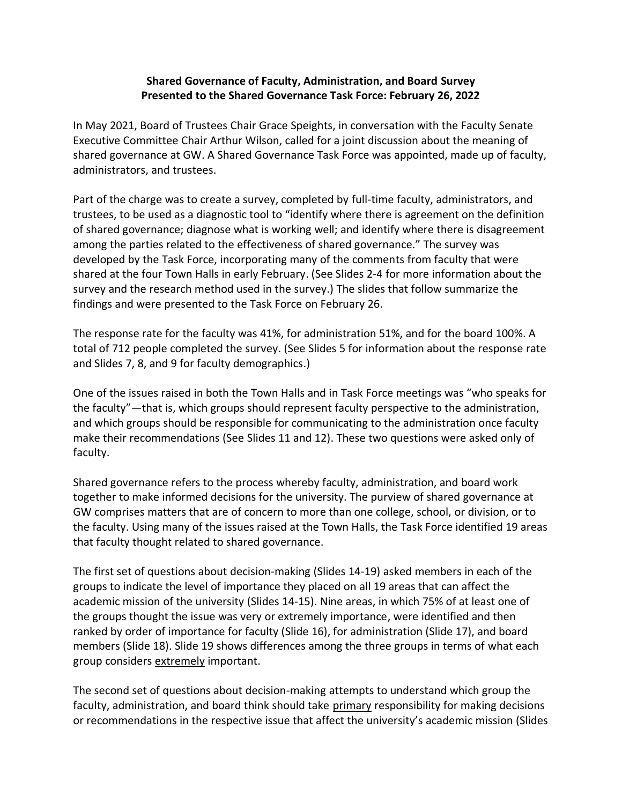## **Shared Governance of Faculty, Administration, and Board Survey Presented to the Shared Governance Task Force: February 26, 2022**

In May 2021, Board of Trustees Chair Grace Speights, in conversation with the Faculty Senate Executive Committee Chair Arthur Wilson, called for a joint discussion about the meaning of shared governance at GW. A Shared Governance Task Force was appointed, made up of faculty, administrators, and trustees.

Part of the charge was to create a survey, completed by full-time faculty, administrators, and trustees, to be used as a diagnostic tool to "identify where there is agreement on the definition of shared governance; diagnose what is working well; and identify where there is disagreement among the parties related to the effectiveness of shared governance." The survey was developed by the Task Force, incorporating many of the comments from faculty that were shared at the four Town Halls in early February. (See Slides 2-4 for more information about the survey and the research method used in the survey.) The slides that follow summarize the findings and were presented to the Task Force on February 26.

The response rate for the faculty was 41%, for administration 51%, and for the board 100%. A total of 712 people completed the survey. (See Slides 5 for information about the response rate and Slides 7, 8, and 9 for faculty demographics.)

One of the issues raised in both the Town Halls and in Task Force meetings was "who speaks for the faculty"—that is, which groups should represent faculty perspective to the administration, and which groups should be responsible for communicating to the administration once faculty make their recommendations (See Slides 11 and 12). These two questions were asked only of faculty.

Shared governance refers to the process whereby faculty, administration, and board work together to make informed decisions for the university. The purview of shared governance at GW comprises matters that are of concern to more than one college, school, or division, or to the faculty. Using many of the issues raised at the Town Halls, the Task Force identified 19 areas that faculty thought related to shared governance.

The first set of questions about decision-making (Slides 14-19) asked members in each of the groups to indicate the level of importance they placed on all 19 areas that can affect the academic mission of the university (Slides 14-15). Nine areas, in which 75% of at least one of the groups thought the issue was very or extremely importance, were identified and then ranked by order of importance for faculty (Slide 16), for administration (Slide 17), and board members (Slide 18). Slide 19 shows differences among the three groups in terms of what each group considers extremely important.

The second set of questions about decision-making attempts to understand which group the faculty, administration, and board think should take primary responsibility for making decisions or recommendations in the respective issue that affect the university's academic mission (Slides